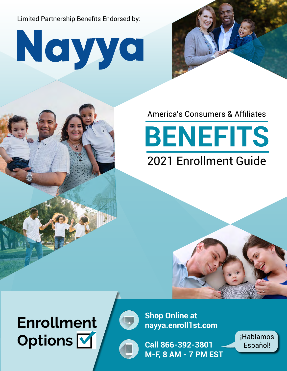Limited Partnership Benefits Endorsed by:

Neyye



### America's Consumers & Affiliates

## **BENEFITS** 2021 Enrollment Guide



# **Options V Gell 866-392-3801** Fspañol!



**Shop Online at Enrollment nayya.enroll1st.com**



**Call 866-392-3801 M-F, 8 AM - 7 PM EST** Español!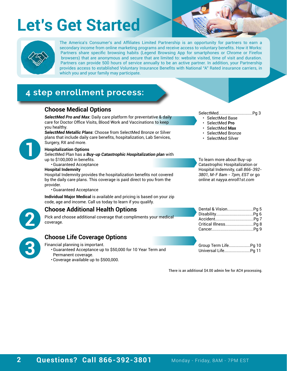## **Let's Get Started**



The America's Consumer's and Affiliates Limited Partnership is an opportunity for partners to earn a secondary income from online marketing programs and receive access to voluntary benefits. How it Works: Partners share specific browsing habits (Legend Browsing App for smartphones or Chrome or Firefox browsers) that are anonymous and secure that are limited to: website visited, time of visit and duration. Partners can provide 500 hours of service annually to be an active partner. In addition, your Partnership provides access to established Voluntary Insurance Benefits with National "A" Rated insurance carriers, in which you and your family may participate.

### **4 step enrollment process:**

### **Choose Medical Options** SelectMed..............................Pg 3

*SelectMed Pro and Max*: Daily care platform for preventative & daily care for Doctor Office Visits, Blood Work and Vaccinations to keep you healthy.

*SelectMed Metallic Plans*: Choose from SelectMed Bronze or Silver plans that include daily care benefits, hospitalization, Lab Services, Surgery, RX and more.



**3**

#### **Hospitalization Options**

SelectMed Plan has a *Buy-up Catastrophic Hospitalization plan* with up to \$100,000 in benefits.

•Guaranteed Acceptance

#### **Hospital Indemnity**

Hospital Indemnity provides the hospitalization benefits not covered by the daily care plans. This coverage is paid direct to you from the provider.

•Guaranteed Acceptance

**Individual Major Medical** is available and pricing is based on your zip code, age and income. Call us today to learn if you qualify.

#### **Choose Life Coverage Options**

Financial planning is important.

- •Guaranteed Acceptance up to \$50,000 for 10 Year Term and Permanent coverage.
- Coverage available up to \$500,000.

- SelectMed Base
- SelectMed **Pro**
- SelectMed **Max**
- SelectMed Bronze
- SelectMed Silver

To learn more about Buy-up Catastrophic Hospitalization or Hospital Indemnity, call *866-392- 3801, M-F 8am - 7pm, EST* or go online at *nayya.enroll1st.com*

|           | <b>Choose Additional Health Options</b>                                        |  |
|-----------|--------------------------------------------------------------------------------|--|
| <b>Le</b> | Pick and choose additional coverage that compliments your medical<br>coverage. |  |
|           |                                                                                |  |
|           | <b>Choose Life Coverage Options</b>                                            |  |

Group Term Life...................Pg 10 Universal Life.......................Pg 11

There is an additional \$4.00 admin fee for ACH processing.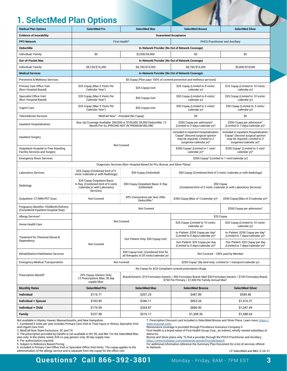### **1. SelectMed Plan Options**

| <b>Medical Plan Options</b>                                                     | <b>SelectMed Pro</b>                                                                                           | <b>SelectMed Max</b>                                                                                                    | <b>SelectMed Bronze</b>                                                                                                                                                              | <b>SelectMed Silver</b>                                                                                                                                      |  |  |
|---------------------------------------------------------------------------------|----------------------------------------------------------------------------------------------------------------|-------------------------------------------------------------------------------------------------------------------------|--------------------------------------------------------------------------------------------------------------------------------------------------------------------------------------|--------------------------------------------------------------------------------------------------------------------------------------------------------------|--|--|
| <b>Evidence of insurability</b>                                                 |                                                                                                                |                                                                                                                         | <b>Guaranteed Acceptance</b>                                                                                                                                                         |                                                                                                                                                              |  |  |
| <b>PPO Network</b>                                                              |                                                                                                                | First Health <sup>®</sup>                                                                                               | <b>PHCS Practitioner and Ancillary</b>                                                                                                                                               |                                                                                                                                                              |  |  |
| <b>Deductible</b>                                                               |                                                                                                                |                                                                                                                         | In-Network Provider (No Out of Network Coverage)                                                                                                                                     |                                                                                                                                                              |  |  |
| Individual/ Family                                                              | \$0                                                                                                            | \$2,000/\$4,000                                                                                                         | \$0<br>\$0                                                                                                                                                                           |                                                                                                                                                              |  |  |
| <b>Out-of-Pocket Max</b>                                                        |                                                                                                                |                                                                                                                         | In-Network Provider (No Out of Network Coverage)                                                                                                                                     |                                                                                                                                                              |  |  |
| Individual/ Family                                                              | \$8,150/\$16,300                                                                                               | \$8,150/\$16,300                                                                                                        | \$8,150/\$16,300                                                                                                                                                                     | \$5,000/\$10,000                                                                                                                                             |  |  |
| <b>Medical Services</b>                                                         |                                                                                                                |                                                                                                                         | In-Network Provider (No Out of Network Coverage)                                                                                                                                     |                                                                                                                                                              |  |  |
| <b>Preventive &amp; Wellness Services</b>                                       |                                                                                                                |                                                                                                                         | \$0 Copay (Plan pays 100% of covered preventive and wellness services)                                                                                                               |                                                                                                                                                              |  |  |
| Primary Care Office Visit<br>(Non-Hospital Based)                               | \$25 Copay (Max 5 Visits Per<br>Calendar Year <sup>1</sup> )                                                   | \$25 Copay/visit                                                                                                        | \$25 Copay (Limited to 8 visits/<br>calendar yr)                                                                                                                                     | \$15 Copay (Limited to 10 visits/<br>calendar yr)                                                                                                            |  |  |
| <b>Specialist Office Visit</b><br>(Non-Hospital Based)                          | \$25 Copay (Max 5 Visits Per<br>Calendar Year <sup>1</sup> )                                                   | \$50 Copay/visit                                                                                                        | \$50 Copay (Limited to 8 visits/<br>calendar yr)                                                                                                                                     | \$25 Copay (Limited to 10 visits/<br>calendar yr)                                                                                                            |  |  |
| <b>Urgent Care</b>                                                              | \$25 Copay (Max 5 Visits Per<br>Calendar Year <sup>1</sup> )                                                   | \$50 Copay/visit                                                                                                        | \$50 Copay (Limited to 2 visits/<br>calendar yr)                                                                                                                                     | \$35 Copay (Limited to 3 visits/<br>calendar yr)                                                                                                             |  |  |
| <b>Telemedicine Services</b>                                                    |                                                                                                                | MedCall Now <sup>2</sup> - Included (No Copay)                                                                          | \$0                                                                                                                                                                                  | \$0                                                                                                                                                          |  |  |
| Inpatient Hospitalization                                                       |                                                                                                                | Buy-Up Coverage Available: \$50,000 or \$100,000, \$5,000 Deductible, 12<br>Month Pre-Ex (PRICING NOT IN PREMIUM BELOW) | \$350 Copay per admission <sup>5</sup><br>(Limited to 5 days/calendar yr) <sup>4</sup>                                                                                               | \$350 Copay per admission <sup>5</sup><br>(Limited to 7 days/calendar yr) <sup>4</sup>                                                                       |  |  |
| <b>Inpatient Surgery</b>                                                        |                                                                                                                |                                                                                                                         | Included in Inpatient Hospitalization<br>Copay <sup>5</sup> (Second surgical opinion<br>may be required; Limited to 2<br>surgeries/calendar yr) <sup>4</sup>                         | Included in Inpatient Hospitalization<br>Copay <sup>5</sup> (Second surgical opinion<br>may be required; Limited to 3<br>surgeries/calendar yr) <sup>4</sup> |  |  |
| Outpatient Hospital or Free Standing<br><b>Facility Services and Surgery</b>    |                                                                                                                | Not Covered                                                                                                             | \$350 Copay <sup>5</sup> (Limited to 1 visit/<br>calendar yr) <sup>4</sup>                                                                                                           | \$350 Copay <sup>5</sup> (Limited to 2 visit/<br>calendar yr) <sup>4</sup>                                                                                   |  |  |
| <b>Emergency Room Services</b>                                                  |                                                                                                                |                                                                                                                         | \$350 Copay <sup>5</sup> (Limited to 1 visit/calendar yr)                                                                                                                            |                                                                                                                                                              |  |  |
|                                                                                 |                                                                                                                | Diagnostic Services (Non-Hospital Based for Pro, Bronze, and Silver Plans)                                              |                                                                                                                                                                                      |                                                                                                                                                              |  |  |
| <b>Laboratory Services</b>                                                      | \$25 Copay (Combined limit of 5<br>visits /calendar yr with Radiology)                                         | \$50 Copay (Unlimited)                                                                                                  | \$50 Copay (Combined limit of 3 visits / calendar yr with Radiology)                                                                                                                 |                                                                                                                                                              |  |  |
| Radiology                                                                       | \$25 Copay Outpatient Basic<br>X-Ray. (Combined limit of 5 visits<br>/calendar yr with Laboratory<br>Services) | \$50 Copay Outpatient Basic X-Ray<br>(Unlimited)                                                                        | \$50 Copay<br>(Combined limit of 3 visits / calendar yr with Laboratory Services)                                                                                                    |                                                                                                                                                              |  |  |
| Outpatient: CT/MRI/PET Scan                                                     | Not Covered                                                                                                    | 50% Coinsurance per test; After<br>Deductible. <sup>4</sup>                                                             | \$350 Copay (Max of 1/calendar yr) <sup>4</sup>                                                                                                                                      | \$350 Copay (Max of 2/calendar yr) <sup>4</sup>                                                                                                              |  |  |
| Pregnancy Benefits: Childbirth/Delivery<br>(Considered Inpatient Hospital Stay) |                                                                                                                | Not Covered                                                                                                             |                                                                                                                                                                                      | \$350 Copay per admission <sup>5</sup>                                                                                                                       |  |  |
| Allergy Services <sup>6</sup>                                                   |                                                                                                                |                                                                                                                         |                                                                                                                                                                                      | \$25 Copay                                                                                                                                                   |  |  |
| Home Health Care                                                                |                                                                                                                | <b>Not Covered</b>                                                                                                      | \$25 Copay (Limited to 10 visits/<br>calendar yr)                                                                                                                                    | \$25 Copay (Limited to 15 visits/<br>calendar yr)                                                                                                            |  |  |
| Treatment for Chemical Abuse &                                                  |                                                                                                                | Out-Patient Only: \$50 Copay/visit                                                                                      | In-Patient: \$250 Copay per day <sup>5</sup><br>(Limited to 5 days/calendar yr) <sup>4</sup>                                                                                         | In-Patient: \$250 Copay per day <sup>5</sup><br>(Limited to 7 days/calendar yr) <sup>4</sup>                                                                 |  |  |
| Dependency                                                                      | Not Covered                                                                                                    |                                                                                                                         | Out-Patient: \$25 Copay per day<br>(Limited to 5 days/calendar yr) <sup>4</sup>                                                                                                      | Out-Patient: \$25 Copay per day<br>(Limited to 7 days/calendar yr) <sup>4</sup>                                                                              |  |  |
| Rehabilitation/Habilitation Services                                            |                                                                                                                | \$50 Copay/visit; (Combined limit for<br>all therapies of 20 visits/calendar yr)                                        |                                                                                                                                                                                      | Not Covered - 100% paid by Member                                                                                                                            |  |  |
| <b>Emergency Medical Transportation</b>                                         |                                                                                                                | Not Covered                                                                                                             |                                                                                                                                                                                      | \$250 Copay <sup>5</sup> (By land only; Limited to 1 transport/calendar yr)                                                                                  |  |  |
|                                                                                 |                                                                                                                |                                                                                                                         | No Copay for ACA Compliant covered prescription drugs                                                                                                                                |                                                                                                                                                              |  |  |
| Prescription Benefit <sup>7</sup>                                               | 20% Copay-Generic Only;<br>12 Prescriptions Max; 30 day<br>supply Max;                                         |                                                                                                                         | Brand/Generic, \$10 Formulary Generic / \$50 Formulary Brand; Mail \$30 Formulary Generic / \$150 Formulary Brand,<br>\$750 Per Primary / \$1,500 Per Family Annual Max <sup>3</sup> |                                                                                                                                                              |  |  |
| <b>Monthly Rates</b>                                                            | <b>SelectMed Pro</b>                                                                                           | <b>SelectMed Max</b>                                                                                                    | <b>SelectMed Bronze</b>                                                                                                                                                              | <b>SelectMed Silver</b>                                                                                                                                      |  |  |
| <b>Individual</b>                                                               | \$116.71                                                                                                       | \$207.25                                                                                                                | \$487.89                                                                                                                                                                             | \$589.48                                                                                                                                                     |  |  |
| Individual + Spouse                                                             | \$183.85                                                                                                       | \$346.11                                                                                                                | \$853.26                                                                                                                                                                             | \$1,016.37                                                                                                                                                   |  |  |
| Individual + Child                                                              | \$176.99                                                                                                       | \$354.87                                                                                                                | \$880.90                                                                                                                                                                             | \$1,047.49                                                                                                                                                   |  |  |
|                                                                                 |                                                                                                                |                                                                                                                         |                                                                                                                                                                                      |                                                                                                                                                              |  |  |

Not available in Alaska, Hawaii, Massachusetts, and New Hampshire.

1. Combined 5 visits per year includes Primary Care Visit to Treat Injury or Illness, Specialist Visit

and Urgent Care Visit. 2. MedCall Now State Exclusions: SC and TX. 3. The prescription provided by DataRx is not available in NY, SD, and WA. For the SelectMed Max

plan only: In the states noted, \$20 co-pay generic only, 30 day supply max.<br>4. Pre-authorization required.<br>5. Subject to Reference Based Pricing

6. Included in Primary Care Office Visit or Specialist Office Visit limits. The copay applies to the administration of the allergy service and is separate from the copay for the office visit

7. Prescription Discount card included in SelectMed Bronze and Silver Plans. Learn more: [https://]( https://www.truscript.com/) [www.truscript.com/]( https://www.truscript.com/)

Reinsurance coverage is provided through Providence Insurance Company II First Health is a brand name of First Health Group Corp., an indirect, wholly-owned subsidiary of

Aetna Inc. Bronze and Silver plans only: To find a provider through the PHCS Practitioner and Ancillary:

<https://www.multiplan.com/webcenter/portal/ProviderSearch> For additional information reference the Summary Plan Document for a list of services offered In-Network.

LP SelectMed and B&S-3-24-21

#### **Questions? Call 866-392-3801** Monday - Friday, 8AM - 7PM EST **3**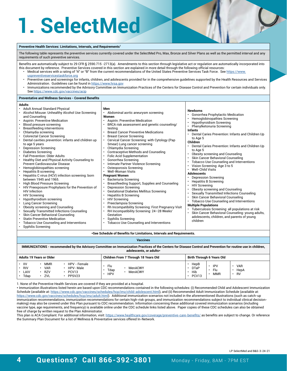## **1. SelectMed**

#### **Preventive Health Services: Limitations, Intervals, and Requirements1**

The following table represents the preventive services currently covered under the SelectMed Pro, Max, Bronze and Silver Plans as well as the permitted interval and any requirements of such preventive services.

Benefits are automatically subject to 29 CFR § 2590.715 -2713(a). Amendments to this section through legislative act or regulation are automatically incorporated into this document by reference. Preventive Services covered in this section are explained in more detail through the following official resources:

- Medical services with a rating of "A" or "B" from the current recommendations of the United States Preventive Services Task Force. See [https://www.](https://www.uspreventiveservicestaskforce.org) [uspreventiveservicestaskforce.org](https://www.uspreventiveservicestaskforce.org)
- Preventive care and screenings for infants, children, and adolescents provided for in the comprehensive guidelines supported by the Health Resources and Services Administration. Guidelines can be found in <https://www.hrsa.gov>
- Immunizations recommended by the Advisory Committee on Immunization Practices of the Centers for Disease Control and Prevention for certain individuals only. See <https://www.cdc.gov/vaccines/acip>

#### **Preventative and Wellness Services - Covered Benefits**

#### **Adults**

| • Adult Annual Standard Physical<br>Alcohol Misuse: Unhealthy Alcohol Use Screening<br>and Counseling<br>Aspirin: Preventive Medication<br>Blood pressure screening<br><b>Breastfeeding interventions</b><br>Chlamydia screening<br><b>Colorectal Cancer Screening</b><br>Dental cavities prevention: infants and children up<br>to age 5 years<br><b>Depression Screening</b><br>Diabetes Screening<br><b>Fall Prevention: Older Adults</b><br>Healthy Diet and Physical Activity Counseling to<br>Prevent Cardiovascular Disease<br>Hemoglobinopathies screening<br><b>Hepatitis B screening</b><br>Hepatitis C virus (HCV) infection screening: born<br>between 1945 and 1965.<br>High Blood Pressure Screening<br>HIV Preexposure Prophylaxis for the Prevention of<br><b>HIV</b> Infection<br><b>HIV Screening</b><br>Hypothyroidism screening<br>Lung Cancer Screening<br>Obesity screening and Counseling<br>Sexually Transmitted Infections Counseling<br>Skin Cancer Behavioral Counseling<br><b>Statin Preventive Medication</b><br>Tobacco Use Counseling and Interventions<br><b>Syphilis Screening</b> | Men<br>Abdominal aortic aneurysm screening<br>Women<br>Aspirin: Preventive Medication<br>BRCA risk assessment and genetic counseling/<br>testina<br><b>Breast Cancer Preventive Medications</b><br><b>Breast Cancer Screening</b><br>Cervical Cancer Screening: with Cytology (Pap<br>Smear) Lung cancer screening<br>Chlamydia Screening<br><b>Contraceptive Methods and Counseling</b><br><b>Folic Acid Supplementation</b><br>Gonorrhea Screening<br>Intimate Partner Violence Screening<br>Osteoporosis Screening<br><b>Well-Woman Visits</b><br><b>Pregnant Women</b><br>Bacteriuria Screening<br>Breastfeeding Support, Supplies and Counseling<br>Depression Screening<br><b>Gestational Diabetes Mellitus Screening</b><br><b>Hepatitis B Screening</b><br><b>HIV Screening</b><br>Preeclampsia Screening<br>Rh Incompatibility Screening: First Pregnancy Visit<br>RH Incompatibility Screening: 24-28 Weeks'<br>Gestation<br>Syphilis Screening<br>Tobacco Use Counseling and Interventions | <b>Newborns</b><br>Gonorrhea Prophylactic Medication<br>Hemoglobinopathies Screening<br><b>Hypothyroidism Screening</b><br>Phenylketonuria Screening<br><b>Infants</b><br>Dental Caries Prevention: Infants and Children Up<br>to Age 5<br>Children<br>Dental Caries Prevention: Infants and Children Up<br>to Age 5<br>Obesity screening and Counseling<br>Skin Cancer Behavioral Counseling<br>Tobacco Use Counseling and Interventions<br>Vision Screening: Age 3 to 5<br><b>Well-Child Visits</b><br><b>Adolescents</b><br><b>Depression Screening</b><br><b>Hepatitis B Screening</b><br><b>HIV Screening</b><br>Obesity screening and Counseling<br>Sexually Transmitted Infections Counseling<br>Skin Cancer Behavioral Counseling<br>Tobacco Use Counseling and Interventions<br><b>Multiple Populations</b><br>Tuberculosis Screening: all populations at risk<br>Skin Cancer Behavioral Counseling: young adults,<br>adolescents, children, and parents of young<br>children |
|---------------------------------------------------------------------------------------------------------------------------------------------------------------------------------------------------------------------------------------------------------------------------------------------------------------------------------------------------------------------------------------------------------------------------------------------------------------------------------------------------------------------------------------------------------------------------------------------------------------------------------------------------------------------------------------------------------------------------------------------------------------------------------------------------------------------------------------------------------------------------------------------------------------------------------------------------------------------------------------------------------------------------------------------------------------------------------------------------------------------|-------------------------------------------------------------------------------------------------------------------------------------------------------------------------------------------------------------------------------------------------------------------------------------------------------------------------------------------------------------------------------------------------------------------------------------------------------------------------------------------------------------------------------------------------------------------------------------------------------------------------------------------------------------------------------------------------------------------------------------------------------------------------------------------------------------------------------------------------------------------------------------------------------------------------------------------------------------------------------------------------------|----------------------------------------------------------------------------------------------------------------------------------------------------------------------------------------------------------------------------------------------------------------------------------------------------------------------------------------------------------------------------------------------------------------------------------------------------------------------------------------------------------------------------------------------------------------------------------------------------------------------------------------------------------------------------------------------------------------------------------------------------------------------------------------------------------------------------------------------------------------------------------------------------------------------------------------------------------------------------------------|
|---------------------------------------------------------------------------------------------------------------------------------------------------------------------------------------------------------------------------------------------------------------------------------------------------------------------------------------------------------------------------------------------------------------------------------------------------------------------------------------------------------------------------------------------------------------------------------------------------------------------------------------------------------------------------------------------------------------------------------------------------------------------------------------------------------------------------------------------------------------------------------------------------------------------------------------------------------------------------------------------------------------------------------------------------------------------------------------------------------------------|-------------------------------------------------------------------------------------------------------------------------------------------------------------------------------------------------------------------------------------------------------------------------------------------------------------------------------------------------------------------------------------------------------------------------------------------------------------------------------------------------------------------------------------------------------------------------------------------------------------------------------------------------------------------------------------------------------------------------------------------------------------------------------------------------------------------------------------------------------------------------------------------------------------------------------------------------------------------------------------------------------|----------------------------------------------------------------------------------------------------------------------------------------------------------------------------------------------------------------------------------------------------------------------------------------------------------------------------------------------------------------------------------------------------------------------------------------------------------------------------------------------------------------------------------------------------------------------------------------------------------------------------------------------------------------------------------------------------------------------------------------------------------------------------------------------------------------------------------------------------------------------------------------------------------------------------------------------------------------------------------------|

#### **\*See Schedule of Benefits for Limitations, Intervals and Requirements.**

**Vaccines**

**IMMUNIZATIONS - recommended by the Advisory Committee on Immunization Practices of the Centers for Disease Control and Prevention for routine use in children, adolescents, or adults\***

| <b>Adults 19 Years or Older</b>                                                                                                        | Children From 7 Through 18 Years Old            | Birth Through 6 Years Old                                                                                             |
|----------------------------------------------------------------------------------------------------------------------------------------|-------------------------------------------------|-----------------------------------------------------------------------------------------------------------------------|
| IIV<br>MMR<br>HPV - Female<br><b>RIV</b><br><b>VAR</b><br>HPV-Male<br>LAIV<br><b>RZV</b><br>PCV <sub>13</sub><br>Tdap<br>PPSV23<br>ZVL | Flu<br>MenACWY<br>Tdap<br>MenACWY<br><b>HPV</b> | HepB<br><b>IPV</b><br><b>VAR</b><br><b>DTaP</b><br>Flu<br>HepA<br>Hib<br><b>RV</b><br><b>MMR</b><br>PCV <sub>13</sub> |

1. None of the Preventive Health Services are covered if they are provided at a hospital.

\* Immunization illustrations listed herein are based upon CDC recommendations contained in the following schedules: (i) Recommended Child and Adolescent Immunization Schedule (available at:<https://www.cdc.gov/vaccines/schedules/hcp/imz/child-adolescent.html>), and (ii) Recommended Adult Immunization Schedule (available at: [https://www.cdc.gov/vaccines/schedules/hcp/imz/adult.html\)](https://www.cdc.gov/vaccines/schedules/hcp/imz/adult.html). Additional immunization scenarios not included in the aforementioned illustrations (such as catch-up immunization recommendations, immunization recommendations for certain high-risk groups, and immunization recommendations subject to individual clinical decisionmaking) may also be covered under this Plan pursuant to CDC recommendation. Information concerning these additional covered immunization scenarios (including vaccine type, age requirements, and frequency) is available online under the CDC schedule links listed above. Paper copies of these CDC schedules can also be obtained free of charge by written request to the Plan Administrator.

This plan is ACA Compliant. For additional information, visit: https://www.healthcare.gov/coverage/preventive-care-benefits/ as benefits are subject to change. Or reference the Summary Plan Document for a list of Wellness & Preventative services offered In-Network.

LP SelectMed and B&S-3-24-21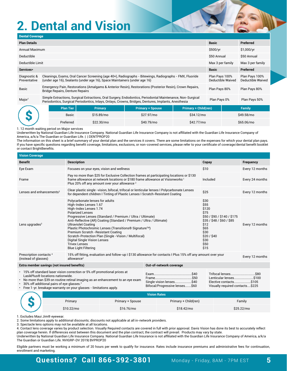## **2. Dental and Vision**

| <b>Dental Coverage</b>                                                                                                                                                                                                                   |                                                                                                                                                                                      |                |                         |                             |              |                                     |                                            |
|------------------------------------------------------------------------------------------------------------------------------------------------------------------------------------------------------------------------------------------|--------------------------------------------------------------------------------------------------------------------------------------------------------------------------------------|----------------|-------------------------|-----------------------------|--------------|-------------------------------------|--------------------------------------------|
| <b>Plan Details</b>                                                                                                                                                                                                                      |                                                                                                                                                                                      |                |                         |                             |              |                                     | Preferred                                  |
| Annual Maximum                                                                                                                                                                                                                           |                                                                                                                                                                                      |                |                         |                             | \$500/yr     |                                     | \$1,000/yr                                 |
| <b>Deductible</b>                                                                                                                                                                                                                        |                                                                                                                                                                                      |                |                         |                             | \$50 Annual  |                                     | \$50 Annual                                |
| Deductible Limit                                                                                                                                                                                                                         |                                                                                                                                                                                      |                |                         |                             |              | Max 3 per family                    | Max 3 per family                           |
| Services*                                                                                                                                                                                                                                |                                                                                                                                                                                      |                |                         |                             | <b>Basic</b> |                                     | Preferred                                  |
| Diagnostic &<br>Preventative                                                                                                                                                                                                             | Cleanings, Exams, Oral Cancer Screening (age 40+), Radiographs - Bitewings, Radiographs - FMX, Fluoride<br>(under age 16), Sealants (under age 16), Space Maintainers (under age 16) |                |                         |                             |              | Plan Pays 100%<br>Deductible Waived | Plan Pays 100%<br><b>Deductible Waived</b> |
| Basic                                                                                                                                                                                                                                    | Emergency Pain, Restorations (Amalgams & Anterior Resin), Restorations (Posterior Resin), Crown Repairs,<br>Bridge Repairs, Denture Repairs                                          |                |                         |                             |              | Plan Pays 80%                       | Plan Pays 80%                              |
| Simple Extractions, Surgical Extractions, Oral Surgery, Endodontics, Periodontal Maintenance, Non-Surgical<br>Major <sup>1</sup><br>Periodontics, Surgical Periodontics, Inlays, Onlays, Crowns, Bridges, Dentures, Implants, Anesthesia |                                                                                                                                                                                      |                |                         |                             | Plan Pays 0% |                                     | Plan Pays 50%                              |
|                                                                                                                                                                                                                                          | <b>Plan Tier</b>                                                                                                                                                                     | <b>Primary</b> | <b>Primary + Spouse</b> | <b>Primary + Child(ren)</b> |              |                                     | <b>Family</b>                              |
|                                                                                                                                                                                                                                          | <b>Basic</b>                                                                                                                                                                         | \$15.89/mo     | \$27.97/mo              | \$34.12/mo                  |              |                                     | \$49.58/mo                                 |
|                                                                                                                                                                                                                                          | Preferred                                                                                                                                                                            | \$22.30/mo     | \$40.79/mo              | \$42.77/mo                  |              |                                     | \$65.06/mo                                 |

1. 12 month waiting period on Major services

Underwritten by National Guardian Life Insurance Company. National Guardian Life Insurance Company is not affiliated with the Guardian Life Insurance Company of America, a/k/a The Guardian or Guardian Life. | | DENTPROP20

The information on this sheet is a brief summary of your dental plan and the services it covers. There are some limitations on the expenses for which your dental plan pays. If you have specific questions regarding benefit coverage, limitations, exclusions, or non-covered services, please refer to your certificate of coverage/dental benefit booklet or contact BrightBenefits.

| <b>Vision Coverage</b>                                                                                                                                                                               |                                                                                                                                                                                                                                                                                                                                                                                                                                                                                                                                                |                         |                                                                                                                                                        |                 |  |  |  |
|------------------------------------------------------------------------------------------------------------------------------------------------------------------------------------------------------|------------------------------------------------------------------------------------------------------------------------------------------------------------------------------------------------------------------------------------------------------------------------------------------------------------------------------------------------------------------------------------------------------------------------------------------------------------------------------------------------------------------------------------------------|-------------------------|--------------------------------------------------------------------------------------------------------------------------------------------------------|-----------------|--|--|--|
| <b>Benefit</b>                                                                                                                                                                                       | <b>Description</b>                                                                                                                                                                                                                                                                                                                                                                                                                                                                                                                             |                         | Copay                                                                                                                                                  | Frequency       |  |  |  |
| Eye Exam                                                                                                                                                                                             | Focuses on your eyes, vision and wellness                                                                                                                                                                                                                                                                                                                                                                                                                                                                                                      |                         | \$10                                                                                                                                                   | Every 12 months |  |  |  |
| Frame                                                                                                                                                                                                | Pay no more than \$25 for Exclusive Collection frames at participating locations or \$130<br>frame allowance at network locations or \$180 frame allowance at Visionworks <sup>1</sup><br>Plus 20% off any amount over your allowance <sup>2</sup>                                                                                                                                                                                                                                                                                             | Included                | Every 24 months                                                                                                                                        |                 |  |  |  |
| Lenses and enhancements <sup>3</sup>                                                                                                                                                                 | Clear plastic single -vision, bifocal, trifocal or lenticular lenses I Polycarbonate Lenses<br>for dependent children I Tinting of Plastic Lenses I Scratch-Resistant Coating                                                                                                                                                                                                                                                                                                                                                                  |                         | \$25                                                                                                                                                   | Every 12 months |  |  |  |
| Lens upgrades <sup>3</sup>                                                                                                                                                                           | Polycarbonate lenses for adults<br>High-Index Lenses 1.67<br>High-Index Lenses 1.74<br><b>Polarized Lenses</b><br>Progressive Lenses (Standard / Premium / Ultra / Ultimate)<br>Anti-Reflective (AR) Coating (Standard / Premium / Ultra / Ultimate)<br><b>Ultraviolet Coating</b><br>Plastic Photochromic Lenses (Transitions <sup>®</sup> Signature™)<br>Premium Scratch - Resistant Coating<br>Scratch-Protection Plan (Single -Vision / Multifocal)<br>Digital Single Vision Lenses<br><b>Trivex Lenses</b><br><b>Blue Light Filtering</b> |                         | \$30<br>\$55<br>\$120<br>\$75<br>\$50 / \$90 / \$140 / \$175<br>\$35 / \$48 / \$60 / \$85<br>\$12<br>\$65<br>\$30<br>\$20/\$40<br>\$30<br>\$50<br>\$15 | Every 12 months |  |  |  |
| Prescription contacts <sup>4</sup><br>15% off fitting, evaluation and follow-up I \$130 allowance for contacts I Plus 15% off any amount over your<br>(instead of glasses)<br>allowance <sup>2</sup> |                                                                                                                                                                                                                                                                                                                                                                                                                                                                                                                                                |                         |                                                                                                                                                        | Every 12 months |  |  |  |
| Extra member savings (not insured benefits)                                                                                                                                                          |                                                                                                                                                                                                                                                                                                                                                                                                                                                                                                                                                | Out-of-network coverage |                                                                                                                                                        |                 |  |  |  |

• 15% off standard laser vision correction or 5% off promotional prices at LasikPlus® locations nationwide. • No more than \$39 on routine retinal imaging as an enhancement to an eye exam • 30% off additional pairs of eye glasses.<sup>2</sup><br>• Free 1-yr, breakage warranty on your gla • Free 1-yr. breakage warranty on your glasses - limitations apply. Exam...........................................\$40 Frame..........................................\$50 Single vision lenses... Bifocal/Progressive lenses.......\$60 Trifocal lenses............................\$80 Lenticular lenses......................\$100<br>Elective contacts...................\$105 Elective contacts........ Visually required contacts....\$225

|            |                  | <b>Vision Rates</b>  |            |
|------------|------------------|----------------------|------------|
| Primary    | Primary + Spouse | Primary + Child(ren) | Family     |
| \$10.22/mo | \$16.76/mo       | \$18,42/mo           | \$25.22/mo |

1. Excludes Maui Jim® eyewear.

2. Some limitations apply to additional discounts; discounts not applicable at all in-network providers.

3. Spectacle lens options may not be available at all locations.

4. Contact lens coverage varies by product selection. Visually Required contacts are covered in full with prior approval. Davis Vision has done its best to accurately reflect plan coverage herein. If differences exist between this document and the plan contract, the contract will prevail. Products may vary by state. Underwritten by National Guardian Life Insurance Company. National Guardian Life Insurance is not affiliated with the Guardian Life Insurance Company of America, a/k/a

The Guardian or Guardian Life. NVIGRP-DV 2019| BVPROP20

Eligible partners must be working a minimum of 20 hours per week to qualify for insurance. Rates include insurance premiums and administrative fees for continuation, enrollment and marketing.

#### **Questions? Call 866-392-3801** Monday - Friday, 8AM - 7PM EST **5**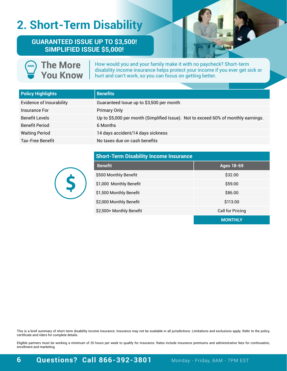## **2. Short-Term Disability**

**The More**

**GUARANTEED ISSUE UP TO \$3,500! SIMPLIFIED ISSUE \$5,000!**



**You Know** How would you and your family make it with no paycheck? Short-term disability income insurance helps protect your income if you ever get sick or hurt and can't work, so you can focus on getting better.

| <b>Policy Highlights</b>        | <b>Benefits</b>                                                                    |
|---------------------------------|------------------------------------------------------------------------------------|
| <b>Evidence of Insurability</b> | Guaranteed Issue up to \$3,500 per month                                           |
| Insurance For                   | <b>Primary Only</b>                                                                |
| <b>Benefit Levels</b>           | Up to \$5,000 per month (Simplified Issue). Not to exceed 60% of monthly earnings. |
| <b>Benefit Period</b>           | 6 Months                                                                           |
| <b>Waiting Period</b>           | 14 days accident/14 days sickness                                                  |
| Tax-Free Benefit                | No taxes due on cash benefits                                                      |



| <b>Short-Term Disability Income Insurance</b> |                   |  |  |  |
|-----------------------------------------------|-------------------|--|--|--|
| <b>Benefit</b>                                | <b>Ages 18-69</b> |  |  |  |
| \$500 Monthly Benefit                         | \$32.00           |  |  |  |
| \$1,000 Monthly Benefit                       | \$59.00           |  |  |  |
| \$1,500 Monthly Benefit                       | \$86.00           |  |  |  |
| \$2,000 Monthly Benefit                       | \$113.00          |  |  |  |
| \$2,500+ Monthly Benefit                      | Call for Pricing  |  |  |  |
|                                               | <b>MONTHLY</b>    |  |  |  |

This is a brief summary of short-term disability income insurance. Insurance may not be available in all jurisdictions. Limitations and exclusions apply. Refer to the policy, certificate and riders for complete details.

Eligible partners must be working a minimum of 20 hours per week to qualify for insurance. Rates include insurance premiums and administrative fees for continuation, enrollment and marketing.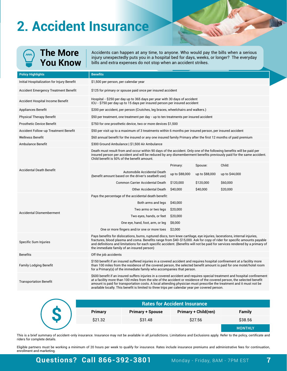## **2. Accident Insurance**

| )<br>】 | The More |
|--------|----------|
|        | You Know |

Accidents can happen at any time, to anyone. Who would pay the bills when a serious injury unexpectedly puts you in a hospital bed for days, weeks, or longer? The everyday bills and extra expenses do not stop when an accident strikes.

| <b>Policy Highlights</b>                   | <b>Benefits</b>                                                                                                                                                                                                                                                                                                                                                                                                                                                                   |                |                |                |  |
|--------------------------------------------|-----------------------------------------------------------------------------------------------------------------------------------------------------------------------------------------------------------------------------------------------------------------------------------------------------------------------------------------------------------------------------------------------------------------------------------------------------------------------------------|----------------|----------------|----------------|--|
| Initial Hospitalization for Injury Benefit | \$1,500 per person, per calendar year                                                                                                                                                                                                                                                                                                                                                                                                                                             |                |                |                |  |
| Accident Emergency Treatment Benefit       | \$125 for primary or spouse paid once per insured accident                                                                                                                                                                                                                                                                                                                                                                                                                        |                |                |                |  |
| <b>Accident Hospital Income Benefit</b>    | Hospital - \$250 per day up to 365 days per year with 30 days of accident<br>ICU - \$750 per day up to 15 days per insured person per insured accident                                                                                                                                                                                                                                                                                                                            |                |                |                |  |
| Appliances Benefit                         | \$200 per accident, per person (Crutches, leg braces, wheelchairs and walkers.)                                                                                                                                                                                                                                                                                                                                                                                                   |                |                |                |  |
| <b>Physical Therapy Benefit</b>            | \$50 per treatment, one treatment per day - up to ten treatments per insured accident                                                                                                                                                                                                                                                                                                                                                                                             |                |                |                |  |
| <b>Prosthetic Device Benefit</b>           | \$750 for one prosthetic device, two or more devices \$1,500                                                                                                                                                                                                                                                                                                                                                                                                                      |                |                |                |  |
| Accident Follow-up Treatment Benefit       | \$50 per visit up to a maximum of 3 treatments within 6 months per insured person, per insured accident                                                                                                                                                                                                                                                                                                                                                                           |                |                |                |  |
| <b>Wellness Benefit</b>                    | \$60 annual benefit for the insured or any one insured family Primary after the first 12 months of paid premium                                                                                                                                                                                                                                                                                                                                                                   |                |                |                |  |
| Ambulance Benefit                          | \$300 Ground Ambulance   \$1,500 Air Ambulance                                                                                                                                                                                                                                                                                                                                                                                                                                    |                |                |                |  |
|                                            | Death must result from and occur within 90 days of the accident. Only one of the following benefits will be paid per<br>insured person per accident and will be reduced by any dismemberment benefits previously paid for the same accident.<br>Child benefit is 50% of the benefit amount.                                                                                                                                                                                       |                |                |                |  |
|                                            |                                                                                                                                                                                                                                                                                                                                                                                                                                                                                   | Primary:       | Spouse:        | Child:         |  |
| <b>Accidental Death Benefit</b>            | Automobile Accidental Death<br>(benefit amount based on the driver's seatbelt use)                                                                                                                                                                                                                                                                                                                                                                                                | up to \$88,000 | up to \$88,000 | up to \$44,000 |  |
|                                            | <b>Common Carrier Accidental Death</b>                                                                                                                                                                                                                                                                                                                                                                                                                                            | \$120,000      | \$120,000      | \$60,000       |  |
|                                            | Other Accidental Death                                                                                                                                                                                                                                                                                                                                                                                                                                                            | \$40,000       | \$40,000       | \$20,000       |  |
|                                            | Pays the percentage of the accidental death benefit:                                                                                                                                                                                                                                                                                                                                                                                                                              |                |                |                |  |
|                                            | Both arms and legs                                                                                                                                                                                                                                                                                                                                                                                                                                                                | \$40,000       |                |                |  |
| <b>Accidental Dismemberment</b>            | Two arms or two legs                                                                                                                                                                                                                                                                                                                                                                                                                                                              | \$20,000       |                |                |  |
|                                            | Two eyes, hands, or feet                                                                                                                                                                                                                                                                                                                                                                                                                                                          | \$20,000       |                |                |  |
|                                            | One eye, hand, foot, arm, or leg                                                                                                                                                                                                                                                                                                                                                                                                                                                  | \$8,000        |                |                |  |
|                                            | One or more fingers and/or one or more toes                                                                                                                                                                                                                                                                                                                                                                                                                                       | \$2,000        |                |                |  |
| Specific Sum Injuries                      | Pays benefits for dislocations, burns, ruptured discs, torn knee cartilage, eye injuries, lacerations, internal injuries,<br>fractures, blood plasma and coma. Benefits range from \$40-\$15,000. Ask for copy of rider for specific amounts payable<br>and definitions and limitations for each specific accident. (Benefits will not be paid for services rendered by a primary of<br>the immediate family of an insured person)                                                |                |                |                |  |
| <b>Benefits</b>                            | Off the job accidents                                                                                                                                                                                                                                                                                                                                                                                                                                                             |                |                |                |  |
| <b>Family Lodging Benefit</b>              | \$150 benefit if an insured suffered injuries in a covered accident and requires hospital confinement at a facility more<br>than 100 miles from the residence of the covered person, the selected benefit amount is paid for one motel/hotel room<br>for a Primary(s) of the immediate family who accompanies that person.                                                                                                                                                        |                |                |                |  |
| <b>Transportation Benefit</b>              | \$600 benefit if an insured suffers injuries in a covered accident and requires special treatment and hospital confinement<br>at a facility more than 100 miles from the site of the accident or residence of the covered person, the selected benefit<br>amount is paid for transportation costs. A local attending physician must prescribe the treatment and it must not be<br>available locally. This benefit is limited to three trips per calendar year per covered person. |                |                |                |  |

| Primary | <b>Primary + Spouse</b> | <b>Primary + Child(ren)</b> | <b>Family</b>  |
|---------|-------------------------|-----------------------------|----------------|
| \$21.32 | \$31.48                 | \$27.56                     | \$38.56        |
|         |                         |                             | <b>MONTHLY</b> |

This is a brief summary of accident-only insurance. Insurance may not be available in all jurisdictions. Limitations and Exclusions apply. Refer to the policy, certificate and riders for complete details.

Eligible partners must be working a minimum of 20 hours per week to qualify for insurance. Rates include insurance premiums and administrative fees for continuation, enrollment and marketing.

### **Questions? Call 866-392-3801** Monday - Friday, 8AM - 7PM EST **7**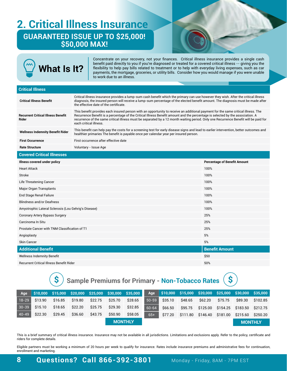### **2. Critical Illness Insurance GUARANTEED ISSUE UP TO \$25,000! \$50,000 MAX!**

| <b>What Is It?</b>                                   |                                                                                                                                                                                                                                                                                                                                                                                                                                       | Concentrate on your recovery, not your finances. Critical illness insurance provides a single cash<br>benefit paid directly to you if you're diagnosed or treated for a covered critical illness -- giving you the<br>flexibility to help pay bills related to treatment or to help with everyday living expenses, such as car<br>payments, the mortgage, groceries, or utility bills. Consider how you would manage if you were unable<br>to work due to an illness. |                                     |
|------------------------------------------------------|---------------------------------------------------------------------------------------------------------------------------------------------------------------------------------------------------------------------------------------------------------------------------------------------------------------------------------------------------------------------------------------------------------------------------------------|-----------------------------------------------------------------------------------------------------------------------------------------------------------------------------------------------------------------------------------------------------------------------------------------------------------------------------------------------------------------------------------------------------------------------------------------------------------------------|-------------------------------------|
|                                                      |                                                                                                                                                                                                                                                                                                                                                                                                                                       |                                                                                                                                                                                                                                                                                                                                                                                                                                                                       |                                     |
| <b>Critical Illness</b>                              |                                                                                                                                                                                                                                                                                                                                                                                                                                       |                                                                                                                                                                                                                                                                                                                                                                                                                                                                       |                                     |
| <b>Critical Illness Benefit</b>                      | Critical illness insurance provides a lump-sum cash benefit which the primary can use however they wish. After the critical illness<br>diagnosis, the insured person will receive a lump-sum percentage of the elected benefit amount. The diagnosis must be made after<br>the effective date of the certificate.                                                                                                                     |                                                                                                                                                                                                                                                                                                                                                                                                                                                                       |                                     |
| <b>Recurrent Critical Illness Benefit</b><br>Rider   | This benefit provides each insured person with an opportunity to receive an additional payment for the same critical illness. The<br>Recurrence Benefit is a percentage of the Critical Illness Benefit amount and the percentage is selected by the association. A<br>recurrence of the same critical illness must be separated by a 12 month waiting period. Only one Recurrence Benefit will be paid for<br>each critical illness. |                                                                                                                                                                                                                                                                                                                                                                                                                                                                       |                                     |
| <b>Wellness Indemnity Benefit Rider</b>              | This benefit can help pay the costs for a screening test for early disease signs and lead to earlier intervention, better outcomes and<br>healthier primaries The benefit is payable once per calendar year per insured person.                                                                                                                                                                                                       |                                                                                                                                                                                                                                                                                                                                                                                                                                                                       |                                     |
| <b>First Occurrence</b>                              | First occurrence after effective date                                                                                                                                                                                                                                                                                                                                                                                                 |                                                                                                                                                                                                                                                                                                                                                                                                                                                                       |                                     |
| <b>Rate Structure</b>                                | Voluntary - Issue Age                                                                                                                                                                                                                                                                                                                                                                                                                 |                                                                                                                                                                                                                                                                                                                                                                                                                                                                       |                                     |
| <b>Covered Critical Illnesses</b>                    |                                                                                                                                                                                                                                                                                                                                                                                                                                       |                                                                                                                                                                                                                                                                                                                                                                                                                                                                       |                                     |
| Illness covered under policy                         |                                                                                                                                                                                                                                                                                                                                                                                                                                       |                                                                                                                                                                                                                                                                                                                                                                                                                                                                       | <b>Percentage of Benefit Amount</b> |
| <b>Heart Attack</b>                                  |                                                                                                                                                                                                                                                                                                                                                                                                                                       |                                                                                                                                                                                                                                                                                                                                                                                                                                                                       | 100%                                |
| Stroke                                               |                                                                                                                                                                                                                                                                                                                                                                                                                                       |                                                                                                                                                                                                                                                                                                                                                                                                                                                                       | 100%                                |
| Life Threatening Cancer                              |                                                                                                                                                                                                                                                                                                                                                                                                                                       |                                                                                                                                                                                                                                                                                                                                                                                                                                                                       | 100%                                |
| Major Organ Transplants                              |                                                                                                                                                                                                                                                                                                                                                                                                                                       |                                                                                                                                                                                                                                                                                                                                                                                                                                                                       | 100%                                |
| End Stage Renal Failure                              |                                                                                                                                                                                                                                                                                                                                                                                                                                       |                                                                                                                                                                                                                                                                                                                                                                                                                                                                       | 100%                                |
| <b>Blindness and/or Deafness</b>                     |                                                                                                                                                                                                                                                                                                                                                                                                                                       |                                                                                                                                                                                                                                                                                                                                                                                                                                                                       | 100%                                |
| Amyotrophic Lateral Sclerosis (Lou Gehrig's Disease) |                                                                                                                                                                                                                                                                                                                                                                                                                                       |                                                                                                                                                                                                                                                                                                                                                                                                                                                                       | 100%                                |
| Coronary Artery Bypass Surgery                       |                                                                                                                                                                                                                                                                                                                                                                                                                                       |                                                                                                                                                                                                                                                                                                                                                                                                                                                                       | 25%                                 |
| Carcinoma In Situ                                    |                                                                                                                                                                                                                                                                                                                                                                                                                                       |                                                                                                                                                                                                                                                                                                                                                                                                                                                                       | 25%                                 |
| Prostate Cancer with TNM Classification of T1        |                                                                                                                                                                                                                                                                                                                                                                                                                                       |                                                                                                                                                                                                                                                                                                                                                                                                                                                                       | 25%                                 |
| Angioplasty                                          |                                                                                                                                                                                                                                                                                                                                                                                                                                       |                                                                                                                                                                                                                                                                                                                                                                                                                                                                       | 5%                                  |
| Skin Cancer                                          | 5%                                                                                                                                                                                                                                                                                                                                                                                                                                    |                                                                                                                                                                                                                                                                                                                                                                                                                                                                       |                                     |
| <b>Additional Benefit</b>                            | <b>Benefit Amount</b>                                                                                                                                                                                                                                                                                                                                                                                                                 |                                                                                                                                                                                                                                                                                                                                                                                                                                                                       |                                     |
| <b>Wellness Indemnity Benefit</b>                    | \$50                                                                                                                                                                                                                                                                                                                                                                                                                                  |                                                                                                                                                                                                                                                                                                                                                                                                                                                                       |                                     |
| Recurrent Critical Illness Benefit Rider             |                                                                                                                                                                                                                                                                                                                                                                                                                                       |                                                                                                                                                                                                                                                                                                                                                                                                                                                                       | 50%                                 |

**\$ Sample Premiums for Primary - Non-Tobacco Rates \$**



This is a brief summary of critical illness insurance. Insurance may not be available in all jurisdictions. Limitations and exclusions apply. Refer to the policy, certificate and riders for complete details.

Eligible partners must be working a minimum of 20 hours per week to qualify for insurance. Rates include insurance premiums and administrative fees for continuation, enrollment and marketing.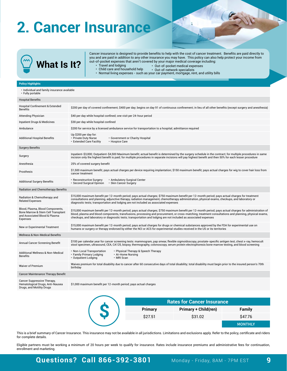## **2. Cancer Insurance**

**What Is It?**

Cancer insurance is designed to provide benefits to help with the cost of cancer treatment. Benefits are paid directly to you and are paid in addition to any other insurance you may have. This policy can also help protect your income from out-of-pocket expenses that aren't covered by your major medical coverage including: • Travel and lodging

- Child care and household help • Out-of-pocket medical expenses
- Normal living expenses such as your car payment, mortgage, rent, and utility bills • Out-of-network specialists

#### **Policy Highlights**

| • Individual and family insurance available<br>• Fully portable                                                     |                                                                                                                                                                                                                                                                                                                                                                                                                                       |  |  |  |  |  |
|---------------------------------------------------------------------------------------------------------------------|---------------------------------------------------------------------------------------------------------------------------------------------------------------------------------------------------------------------------------------------------------------------------------------------------------------------------------------------------------------------------------------------------------------------------------------|--|--|--|--|--|
| <b>Hospital Benefits</b>                                                                                            |                                                                                                                                                                                                                                                                                                                                                                                                                                       |  |  |  |  |  |
| Hospital Confinement & Extended<br><b>Benefits</b>                                                                  | \$200 per day of covered confinement; \$400 per day; begins on day 91 of continuous confinement; in lieu of all other benefits (except surgery and anesthesia)                                                                                                                                                                                                                                                                        |  |  |  |  |  |
| <b>Attending Physician</b>                                                                                          | \$40 per day while hospital confined; one visit per 24-hour period                                                                                                                                                                                                                                                                                                                                                                    |  |  |  |  |  |
| <b>Inpatient Drugs &amp; Medicines</b>                                                                              | \$30 per day while hospital confined                                                                                                                                                                                                                                                                                                                                                                                                  |  |  |  |  |  |
| Ambulance                                                                                                           | \$200 for service by a licensed ambulance service for transportation to a hospital; admittance required                                                                                                                                                                                                                                                                                                                               |  |  |  |  |  |
| <b>Additional Hospital Benefits</b>                                                                                 | Up \$200 per day for:<br>• Private Duty Nurse<br>• Government or Charity Hospital<br>· Extended Care Facility<br>• Hospice Care                                                                                                                                                                                                                                                                                                       |  |  |  |  |  |
| <b>Surgery Benefits</b>                                                                                             |                                                                                                                                                                                                                                                                                                                                                                                                                                       |  |  |  |  |  |
| Surgery                                                                                                             | Inpatient-\$3,000; Outpatient-\$4,500 Maximum benefit; actual benefit is determined by the surgery schedule in the contract; for multiple procedures in same<br>incision only the highest benefit is paid; for multiple procedures in separate incisions will pay highest benefit and then 50% for each lesser procedure                                                                                                              |  |  |  |  |  |
| Anesthesia                                                                                                          | 25% of covered surgery benefit                                                                                                                                                                                                                                                                                                                                                                                                        |  |  |  |  |  |
| Prosthesis                                                                                                          | \$1,500 maximum benefit; pays actual charges per device requiring implantation; \$150 maximum benefit; pays actual charges for wig to cover hair loss from<br>cancer treatment                                                                                                                                                                                                                                                        |  |  |  |  |  |
| <b>Additional Surgery Benefits</b>                                                                                  | • Reconstructive Surgery<br>• Ambulatory Surgical Center<br>· Second Surgical Opinion<br>• Skin Cancer Surgery                                                                                                                                                                                                                                                                                                                        |  |  |  |  |  |
| Radiation and Chemotherapy Benefits                                                                                 |                                                                                                                                                                                                                                                                                                                                                                                                                                       |  |  |  |  |  |
| Radiation & Chemotherapy and<br><b>Related Expenses</b>                                                             | \$15,000 maximum benefit per 12-month period; pays actual charges; \$750 maximum benefit per 12-month period; pays actual charges for treatment<br>consultations and planning, adjunctive therapy, radiation management, chemotherapy administration, physical exams, checkups, and laboratory or<br>diagnostic tests; transportation and lodging are not included as associated expenses                                             |  |  |  |  |  |
| Blood, Plasma, Blood Components,<br>Bone Marrow & Stem Cell Transplant<br>and Associated Blood & Plasma<br>Expenses | \$15,000 maximum benefit per 12-month period; pays actual charges; \$750 maximum benefit per 12-month period; pays actual charges for administration of<br>blood, plasma and blood components, transfusions, processing and procurement, or cross-matching, treatment consultations and planning, physical exams,<br>checkups, and laboratory or diagnostic tests; transportation and lodging are not included as associated expenses |  |  |  |  |  |
| New or Experimental Treatment                                                                                       | \$15,000 maximum benefit per 12-month period; pays actual charges for drugs or chemical substances approved by the FDA for experimental use on<br>humans or surgery or therapy endorsed by either the NCI or ACS for experimental studies received in the US or its territories                                                                                                                                                       |  |  |  |  |  |
| Wellness & Non-Medical Benefits                                                                                     |                                                                                                                                                                                                                                                                                                                                                                                                                                       |  |  |  |  |  |
| Annual Cancer Screening Benefit                                                                                     | \$100 per calendar year for cancer screening tests: mammogram, pap smear, flexible sigmoidoscopy, prostate-specific antigen test, chest x-ray, hemocult<br>stool specimen, ultrasound, CEA, CA125, biopsy, thermography, colonoscopy, serum protein electrophoresis bone marrow testing, and blood screening                                                                                                                          |  |  |  |  |  |
| Additional Wellness & Non-Medical<br>Benefits                                                                       | • Non-Local Transportation<br>• Physical Therapy & Speech Therapy<br>• Family Primary Lodging<br>• At-Home Nursing<br>• Outpatient Lodging<br>· MRI Scan                                                                                                                                                                                                                                                                              |  |  |  |  |  |
| Waiver of Premium                                                                                                   | Waives premium for total disability due to cancer after 60 consecutive days of total disability; total disability must begin prior to the insured person's 70th<br>birthday                                                                                                                                                                                                                                                           |  |  |  |  |  |
| Cancer Maintenance Therapy Benefit                                                                                  |                                                                                                                                                                                                                                                                                                                                                                                                                                       |  |  |  |  |  |
| Cancer Suppressive Therapy,<br>Hematological Drugs, Anti-Nausea<br>Drugs, and Motility Drugs                        | \$1,000 maximum benefit per 12-month period; pays actual charges                                                                                                                                                                                                                                                                                                                                                                      |  |  |  |  |  |
|                                                                                                                     |                                                                                                                                                                                                                                                                                                                                                                                                                                       |  |  |  |  |  |
|                                                                                                                     | <b>Rates for Cancer Insurance</b>                                                                                                                                                                                                                                                                                                                                                                                                     |  |  |  |  |  |

This is a brief summary of Cancer Insurance. This insurance may not be available in all jurisdictions. Limitations and exclusions apply. Refer to the policy, certificate and riders for complete details.

Eligible partners must be working a minimum of 20 hours per week to qualify for insurance. Rates include insurance premiums and administrative fees for continuation, enrollment and marketing.

**\$**

**Primary Primary + Child(ren) Family** \$27.51 \$31.02 \$47.76

**MONTHLY**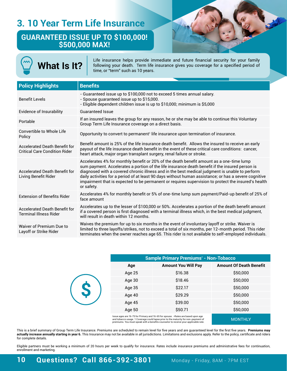### **3. 10 Year Term Life Insurance**

#### **GUARANTEED ISSUE UP TO \$100,000! \$500,000 MAX!**



| <b>Sample Primary Premiums* - Non-Tobacco</b> |                                                                                                                                                                                                                                                                                           |                                |  |  |
|-----------------------------------------------|-------------------------------------------------------------------------------------------------------------------------------------------------------------------------------------------------------------------------------------------------------------------------------------------|--------------------------------|--|--|
| Age                                           | <b>Amount You Will Pay</b>                                                                                                                                                                                                                                                                | <b>Amount Of Death Benefit</b> |  |  |
| Age 25                                        | \$16.38                                                                                                                                                                                                                                                                                   | \$50,000                       |  |  |
| Age 30                                        | \$18.46                                                                                                                                                                                                                                                                                   | \$50,000                       |  |  |
| Age 35                                        | \$22.17                                                                                                                                                                                                                                                                                   | \$50,000                       |  |  |
| Age 40                                        | \$29.29                                                                                                                                                                                                                                                                                   | \$50,000                       |  |  |
| Age 45                                        | \$39.00                                                                                                                                                                                                                                                                                   | \$50,000                       |  |  |
| Age 50                                        | \$50.71                                                                                                                                                                                                                                                                                   | \$50,000                       |  |  |
|                                               | Issue ages are 16-75 for Primary and 16-65 for spouse. *Rates are based upon age<br>and tobacco usage. 1 Coverage could lapse prior to the maturity for non-payment of<br>the contract of the contract of the contract of the contract of the contract of the contract of the contract of | <b>MONTHLY</b>                 |  |  |

premiums. You must speak with a benefits counselor to receive your applicable rate.

This is a brief summary of Group Term Life Insurance. Premiums are scheduled to remain level for five years and are guaranteed level for the first five years. **Premiums may actually increase annually starting in year 6.** This Insurance may not be available in all jurisdictions. Limitations and exclusions apply. Refer to the policy, certificate and riders for complete details.

Eligible partners must be working a minimum of 20 hours per week to qualify for insurance. Rates include insurance premiums and administrative fees for continuation, enrollment and marketing.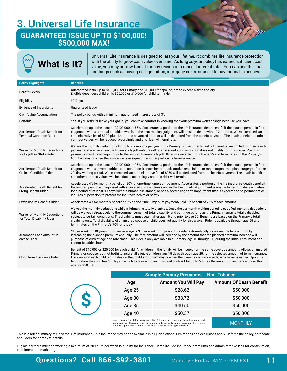### **3. Universal Life Insurance GUARANTEED ISSUE UP TO \$100,000! \$500,000 MAX!**





Universal Life Insurance is designed to last your lifetime. It combines life insurance protection with the ability to grow cash value over time. As long as your policy has earned sufficient cash value, you may borrow from it for any reason at a modest interest rate. You can use this loan for things such as paying college tuition, mortgage costs, or use it to pay for final expenses.

| <b>Policy Highlights</b>                                                | <b>Benefits</b>                                                                                                                                                                                                                                                                                                                                                                                                                                                                                                                                                                                              |
|-------------------------------------------------------------------------|--------------------------------------------------------------------------------------------------------------------------------------------------------------------------------------------------------------------------------------------------------------------------------------------------------------------------------------------------------------------------------------------------------------------------------------------------------------------------------------------------------------------------------------------------------------------------------------------------------------|
| <b>Benefit Levels</b>                                                   | Guaranteed issue up to \$100,000 for Primary and \$15,000 for spouse, not to exceed 5 times salary.<br>Eligible dependent children is \$25,000 or \$10,000 for child term rider.                                                                                                                                                                                                                                                                                                                                                                                                                             |
| Eligibility                                                             | 90 Days                                                                                                                                                                                                                                                                                                                                                                                                                                                                                                                                                                                                      |
| <b>Evidence of Insurability</b>                                         | <b>Guaranteed Issue</b>                                                                                                                                                                                                                                                                                                                                                                                                                                                                                                                                                                                      |
| <b>Cash Value Accumulation</b>                                          | The policy builds with a minimum quaranteed interest rate of 3%                                                                                                                                                                                                                                                                                                                                                                                                                                                                                                                                              |
| Portable                                                                | Yes. If you retire or leave your group, you can take comfort in knowing that your premium won't change because you leave.                                                                                                                                                                                                                                                                                                                                                                                                                                                                                    |
| <b>Accelerated Death Benefit for</b><br><b>Terminal Condition Rider</b> | Accelerates up to the lesser of \$100,000 or 75%. Accelerates a portion of the life insurance death benefit if the insured person is first<br>diagnosed with a terminal condition which, in the best medical judgment, will result in death within 12 months. When exercised, an<br>administrative fee of \$100 plus 12 months advanced interest will be deducted from the benefit payment. The death benefit and other<br>contract values will be reduced accordingly and this rider will terminate.                                                                                                        |
| <b>Waiver of Monthly Deductions</b><br>for Layoff or Strike Rider       | Waives the monthly deductions for up to six months per year if the Primary is involuntarily laid off. Benefits are limited to three layoffs<br>per year and are based on the Primary's layoff only. Layoff of an insured spouse or child does not qualify for this waiver. Premium<br>payments must have begun prior to the insured Primary's layoff. Rider is available through age 55 and terminates on the Primary's<br>60th birthday or when the insurance is assigned to another party, whichever is earlier.                                                                                           |
| <b>Accelerated Death Benefit for</b><br><b>Critical Condition Rider</b> | Accelerates up to the lesser of \$100,000 or 25%. Accelerates a portion of the life insurance death benefit it the insured person is first<br>diagnosed with a covered critical care condition (cancer, heart attack, stroke, renal failure or major organ transplant surgery) after the<br>30-day waiting period. When exercised, an administrative fee of \$250 will be deducted from the benefit payment. The death benefit<br>and other contract values will be reduced accordingly and this rider will terminate.                                                                                       |
| <b>Accelerated Death Benefit for</b><br>Living Benefit Rider            | Accelerates 4% for monthly benefit or 20% of one-time lump sum payment. Accelerates a portion of the life insurance death benefit if<br>the insured person is diagnosed with a covered chronic illness and in the best medical judgment is unable to perform daily activities<br>for a period of at least 90 days without human assistance; or has a severe cognitive impairment that is expected to be permanent or<br>requires supervision to protect the insured's health or safety.                                                                                                                      |
| <b>Extension of Benefits Rider</b>                                      | Accelerates 4% for monthly benefit or 5% or one-time lump sum payment/Paid-up benefit of 25% of face amount                                                                                                                                                                                                                                                                                                                                                                                                                                                                                                  |
| <b>Waiver of Monthly Deductions</b><br>for Total Disability Rider       | Waives the monthly deductions while a Primary is totally disabled. Once the six month waiting period is satisfied, monthly deductions<br>will be waived retroactively to the commencement of total disability and continue as long as the Primary remains totally disabled,<br>subject to certain conditions. The disability must begin after age 16 and prior to age 60. Benefits are based on the Primary's total<br>disability only. Total disability of an insured spouse or child does not qualify for this waiver. Rider is available through age 55 and<br>terminates on the Primary's 70th birthday. |
| Automatic Face Amount In-<br>crease Rider                               | \$1 per week for 10 years. Spouse coverage is \$1 per week for 3 years. This rider automatically increases the face amount by<br>increasing the planned premium annually. The face amount will increase by the amount that the planned premium increase will<br>purchase at current age and rate class. This rider is only available to a Primary, age 16 through 60, during the initial enrollment and<br>cannot be added later.                                                                                                                                                                            |
| Child Term Insurance Rider                                              | Benefit of \$10,000 or \$20,000 for each child. All children in the family will be insured for the same coverage amount. Allows an insured<br>Primary or spouse (but not both) to insure all eligible children, age 15 days through age 25, for the selected amount of term insurance.<br>Insurance on each child terminates on that child's 26th birthday or when the parent's insurance ends, whichever is earlier. Upon the<br>termination the child has 31 days in which to convert to an individual contract for up to 5 times the amount of insurance under this<br>rider or \$50,000.                 |
|                                                                         | Sample Primary Premiume* - Non-Tohacco                                                                                                                                                                                                                                                                                                                                                                                                                                                                                                                                                                       |

|   | <b>Sample Primary Premiums* - Non-Tobacco</b> |                            |                                |  |  |
|---|-----------------------------------------------|----------------------------|--------------------------------|--|--|
|   | Age                                           | <b>Amount You Will Pay</b> | <b>Amount Of Death Benefit</b> |  |  |
| S | Age 25                                        | \$28.62                    | \$50,000                       |  |  |
|   | Age 30                                        | \$33.72                    | \$50,000                       |  |  |
|   | Age 35                                        | \$40.50                    | \$50,000                       |  |  |
|   | Age 40                                        | \$50.37                    | \$50,000                       |  |  |
|   |                                               |                            |                                |  |  |

lssue ages are 16-80 for Primary and 16-65 for spouse. \*Rates are based upon age and<br>tobacco usage. Coverage could lapse prior to the maturity for non-payment of premiums.<br>You must speak with a benefits counselor to recei

This is a brief summary of Universal Life Insurance. This insurance may not be available in all jurisdictions. Limitations and exclusions apply. Refer to the policy, certificate and riders for complete details.

Eligible partners must be working a minimum of 20 hours per week to qualify for insurance. Rates include insurance premiums and administrative fees for continuation, enrollment and marketing.

**MONTHLY**